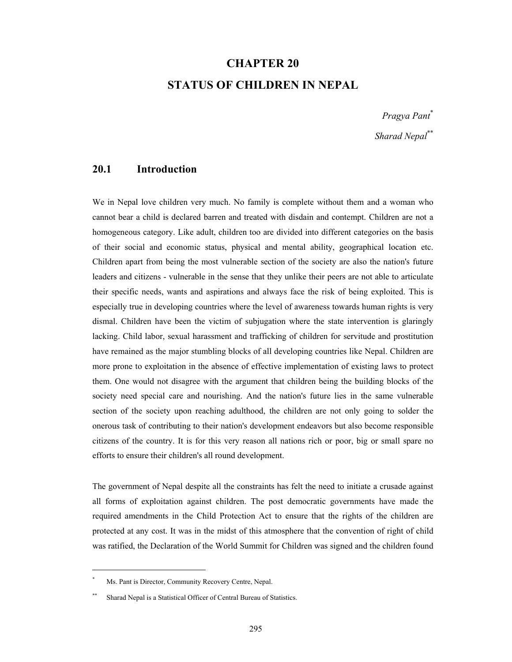# **CHAPTER 20 STATUS OF CHILDREN IN NEPAL**

*Pragya Pant*\* *Sharad Nepal*\*\*

# **20.1 Introduction**

We in Nepal love children very much. No family is complete without them and a woman who cannot bear a child is declared barren and treated with disdain and contempt. Children are not a homogeneous category. Like adult, children too are divided into different categories on the basis of their social and economic status, physical and mental ability, geographical location etc. Children apart from being the most vulnerable section of the society are also the nation's future leaders and citizens - vulnerable in the sense that they unlike their peers are not able to articulate their specific needs, wants and aspirations and always face the risk of being exploited. This is especially true in developing countries where the level of awareness towards human rights is very dismal. Children have been the victim of subjugation where the state intervention is glaringly lacking. Child labor, sexual harassment and trafficking of children for servitude and prostitution have remained as the major stumbling blocks of all developing countries like Nepal. Children are more prone to exploitation in the absence of effective implementation of existing laws to protect them. One would not disagree with the argument that children being the building blocks of the society need special care and nourishing. And the nation's future lies in the same vulnerable section of the society upon reaching adulthood, the children are not only going to solder the onerous task of contributing to their nation's development endeavors but also become responsible citizens of the country. It is for this very reason all nations rich or poor, big or small spare no efforts to ensure their children's all round development.

The government of Nepal despite all the constraints has felt the need to initiate a crusade against all forms of exploitation against children. The post democratic governments have made the required amendments in the Child Protection Act to ensure that the rights of the children are protected at any cost. It was in the midst of this atmosphere that the convention of right of child was ratified, the Declaration of the World Summit for Children was signed and the children found

 $\overline{a}$ 

<sup>\*</sup> Ms. Pant is Director, Community Recovery Centre, Nepal.

Sharad Nepal is a Statistical Officer of Central Bureau of Statistics.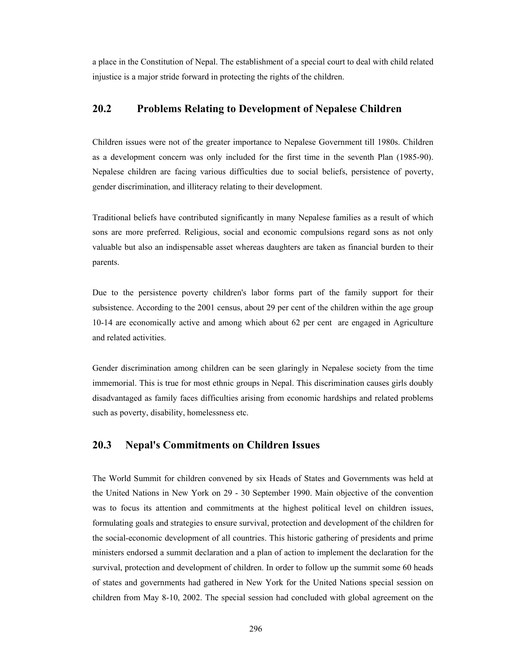a place in the Constitution of Nepal. The establishment of a special court to deal with child related injustice is a major stride forward in protecting the rights of the children.

#### **20.2 Problems Relating to Development of Nepalese Children**

Children issues were not of the greater importance to Nepalese Government till 1980s. Children as a development concern was only included for the first time in the seventh Plan (1985-90). Nepalese children are facing various difficulties due to social beliefs, persistence of poverty, gender discrimination, and illiteracy relating to their development.

Traditional beliefs have contributed significantly in many Nepalese families as a result of which sons are more preferred. Religious, social and economic compulsions regard sons as not only valuable but also an indispensable asset whereas daughters are taken as financial burden to their parents.

Due to the persistence poverty children's labor forms part of the family support for their subsistence. According to the 2001 census, about 29 per cent of the children within the age group 10-14 are economically active and among which about 62 per cent are engaged in Agriculture and related activities.

Gender discrimination among children can be seen glaringly in Nepalese society from the time immemorial. This is true for most ethnic groups in Nepal. This discrimination causes girls doubly disadvantaged as family faces difficulties arising from economic hardships and related problems such as poverty, disability, homelessness etc.

## **20.3 Nepal's Commitments on Children Issues**

The World Summit for children convened by six Heads of States and Governments was held at the United Nations in New York on 29 - 30 September 1990. Main objective of the convention was to focus its attention and commitments at the highest political level on children issues, formulating goals and strategies to ensure survival, protection and development of the children for the social-economic development of all countries. This historic gathering of presidents and prime ministers endorsed a summit declaration and a plan of action to implement the declaration for the survival, protection and development of children. In order to follow up the summit some 60 heads of states and governments had gathered in New York for the United Nations special session on children from May 8-10, 2002. The special session had concluded with global agreement on the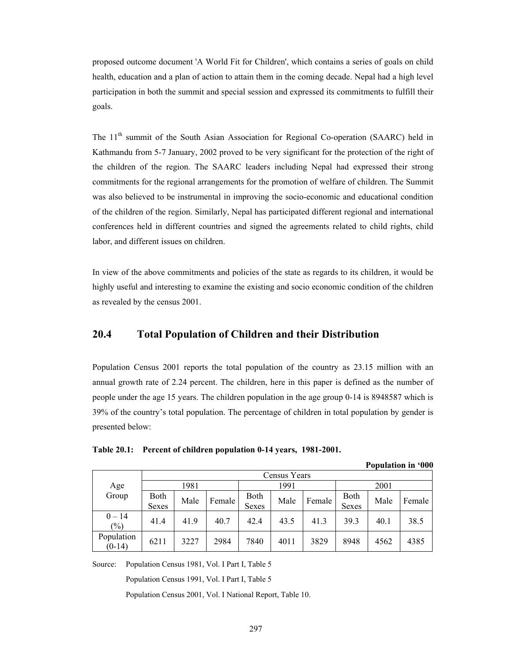proposed outcome document 'A World Fit for Children', which contains a series of goals on child health, education and a plan of action to attain them in the coming decade. Nepal had a high level participation in both the summit and special session and expressed its commitments to fulfill their goals.

The 11<sup>th</sup> summit of the South Asian Association for Regional Co-operation (SAARC) held in Kathmandu from 5-7 January, 2002 proved to be very significant for the protection of the right of the children of the region. The SAARC leaders including Nepal had expressed their strong commitments for the regional arrangements for the promotion of welfare of children. The Summit was also believed to be instrumental in improving the socio-economic and educational condition of the children of the region. Similarly, Nepal has participated different regional and international conferences held in different countries and signed the agreements related to child rights, child labor, and different issues on children.

In view of the above commitments and policies of the state as regards to its children, it would be highly useful and interesting to examine the existing and socio economic condition of the children as revealed by the census 2001.

# **20.4 Total Population of Children and their Distribution**

Population Census 2001 reports the total population of the country as 23.15 million with an annual growth rate of 2.24 percent. The children, here in this paper is defined as the number of people under the age 15 years. The children population in the age group 0-14 is 8948587 which is 39% of the country's total population. The percentage of children in total population by gender is presented below:

|                                        |               |      |        |                      |      |        |                             |      | т орчианон нг ооо |  |  |
|----------------------------------------|---------------|------|--------|----------------------|------|--------|-----------------------------|------|-------------------|--|--|
|                                        | Census Years  |      |        |                      |      |        |                             |      |                   |  |  |
| Age                                    |               | 1981 |        |                      | 1991 |        |                             | 2001 |                   |  |  |
| Group                                  | Both<br>Sexes | Male | Female | Both<br><b>Sexes</b> | Male | Female | <b>Both</b><br><b>Sexes</b> | Male | Female            |  |  |
| $0 - 14$<br>$\left(\frac{0}{0}\right)$ | 41.4          | 41.9 | 40.7   | 42.4                 | 43.5 | 41.3   | 39.3                        | 40.1 | 38.5              |  |  |
| Population<br>$(0-14)$                 | 6211          | 3227 | 2984   | 7840                 | 4011 | 3829   | 8948                        | 4562 | 4385              |  |  |

**Population in '000** 

**Table 20.1: Percent of children population 0-14 years, 1981-2001.** 

Source: Population Census 1981, Vol. I Part I, Table 5

Population Census 1991, Vol. I Part I, Table 5

Population Census 2001, Vol. I National Report, Table 10.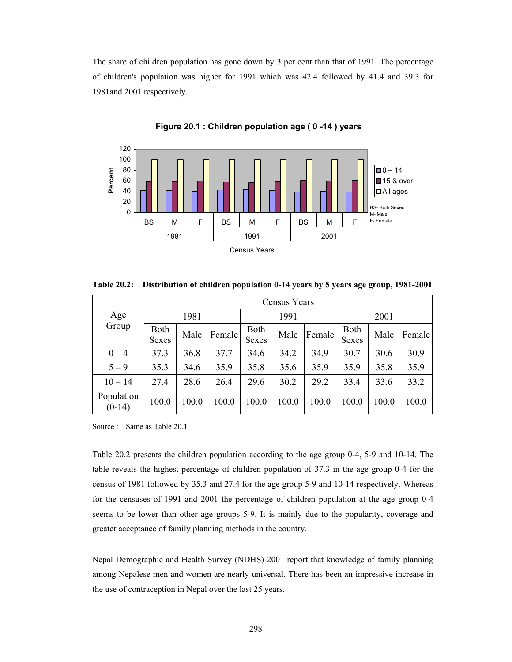The share of children population has gone down by 3 per cent than that of 1991. The percentage of children's population was higher for 1991 which was 42.4 followed by 41.4 and 39.3 for 1981and 2001 respectively.



**Table 20.2: Distribution of children population 0-14 years by 5 years age group, 1981-2001** 

|                        | Census Years         |       |        |                             |       |        |                      |       |        |  |
|------------------------|----------------------|-------|--------|-----------------------------|-------|--------|----------------------|-------|--------|--|
| Age                    | 1981                 |       |        |                             | 1991  |        |                      | 2001  |        |  |
| Group                  | <b>Both</b><br>Sexes | Male  | Female | <b>Both</b><br><b>Sexes</b> | Male  | Female | <b>Both</b><br>Sexes | Male  | Female |  |
| $0 - 4$                | 37.3                 | 36.8  | 37.7   | 34.6                        | 34.2  | 34.9   | 30.7                 | 30.6  | 30.9   |  |
| $5 - 9$                | 35.3                 | 34.6  | 35.9   | 35.8                        | 35.6  | 35.9   | 35.9                 | 35.8  | 35.9   |  |
| $10 - 14$              | 27.4                 | 28.6  | 26.4   | 29.6                        | 30.2  | 29.2   | 33.4                 | 33.6  | 33.2   |  |
| Population<br>$(0-14)$ | 100.0                | 100.0 | 100.0  | 100.0                       | 100.0 | 100.0  | 100.0                | 100.0 | 100.0  |  |

Source : Same as Table 20.1

Table 20.2 presents the children population according to the age group 0-4, 5-9 and 10-14. The table reveals the highest percentage of children population of 37.3 in the age group 0-4 for the census of 1981 followed by 35.3 and 27.4 for the age group 5-9 and 10-14 respectively. Whereas for the censuses of 1991 and 2001 the percentage of children population at the age group 0-4 seems to be lower than other age groups 5-9. It is mainly due to the popularity, coverage and greater acceptance of family planning methods in the country.

Nepal Demographic and Health Survey (NDHS) 2001 report that knowledge of family planning among Nepalese men and women are nearly universal. There has been an impressive increase in the use of contraception in Nepal over the last 25 years.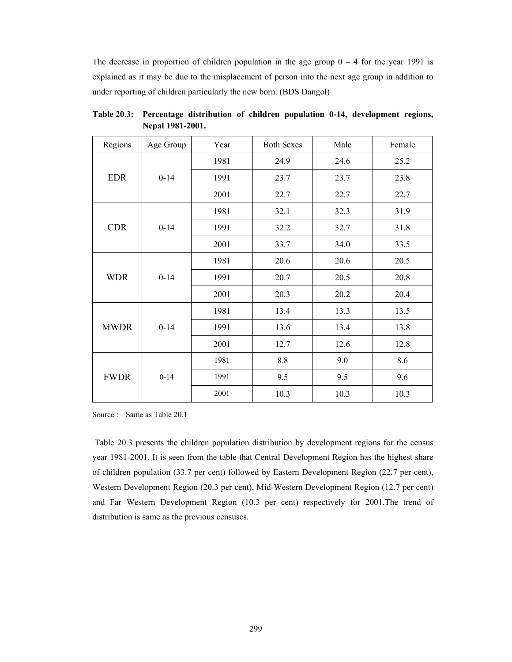The decrease in proportion of children population in the age group  $0 - 4$  for the year 1991 is explained as it may be due to the misplacement of person into the next age group in addition to under reporting of children particularly the new born. (BDS Dangol)

| Regions     | Age Group | Year | <b>Both Sexes</b> | Male | Female |
|-------------|-----------|------|-------------------|------|--------|
|             |           | 1981 | 24.9              | 24.6 | 25.2   |
| <b>EDR</b>  | $0 - 14$  | 1991 | 23.7              | 23.7 | 23.8   |
|             |           | 2001 | 22.7              | 22.7 | 22.7   |
|             |           | 1981 | 32.1              | 32.3 | 31.9   |
| <b>CDR</b>  | $0 - 14$  | 1991 | 32.2              | 32.7 | 31.8   |
|             |           | 2001 | 33.7              | 34.0 | 33.5   |
|             |           | 1981 | 20.6              | 20.6 | 20.5   |
| <b>WDR</b>  | $0 - 14$  | 1991 | 20.7              | 20.5 | 20.8   |
|             |           | 2001 | 20.3              | 20.2 | 20.4   |
|             |           | 1981 | 13.4              | 13.3 | 13.5   |
| <b>MWDR</b> | $0 - 14$  | 1991 | 13.6              | 13.4 | 13.8   |
|             |           | 2001 | 12.7              | 12.6 | 12.8   |
|             |           | 1981 | 8.8               | 9.0  | 8.6    |
| <b>FWDR</b> | $0 - 14$  | 1991 | 9.5               | 9.5  | 9.6    |
|             |           | 2001 | 10.3              | 10.3 | 10.3   |

**Table 20.3: Percentage distribution of children population 0-14, development regions, Nepal 1981-2001.** 

Source : Same as Table 20.1

 Table 20.3 presents the children population distribution by development regions for the census year 1981-2001. It is seen from the table that Central Development Region has the highest share of children population (33.7 per cent) followed by Eastern Development Region (22.7 per cent), Western Development Region (20.3 per cent), Mid-Western Development Region (12.7 per cent) and Far Western Development Region (10.3 per cent) respectively for 2001.The trend of distribution is same as the previous censuses.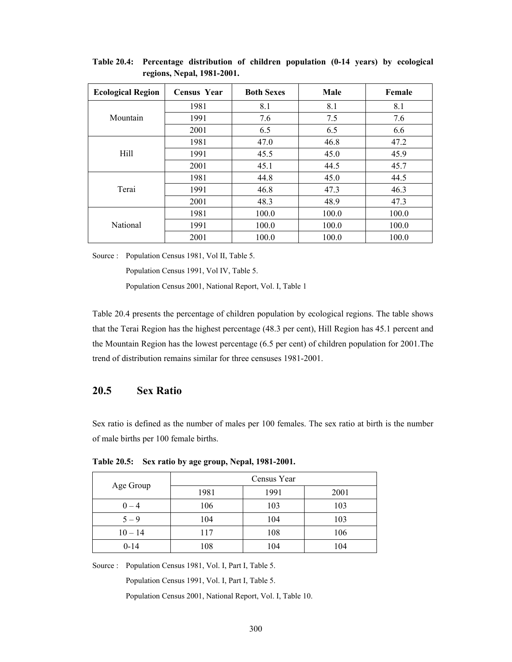| <b>Ecological Region</b> | <b>Census Year</b> | <b>Both Sexes</b> | <b>Male</b> | Female |
|--------------------------|--------------------|-------------------|-------------|--------|
|                          | 1981               | 8.1               | 8.1         | 8.1    |
| Mountain                 | 1991               | 7.6               | 7.5         | 7.6    |
|                          | 2001               | 6.5               | 6.5         | 6.6    |
|                          | 1981               | 47.0              | 46.8        | 47.2   |
| Hill                     | 1991               | 45.5              | 45.0        | 45.9   |
|                          | 2001               | 45.1              | 44.5        | 45.7   |
|                          | 1981               | 44.8              | 45.0        | 44.5   |
| Terai                    | 1991               | 46.8              | 47.3        | 46.3   |
|                          | 2001               | 48.3              | 48.9        | 47.3   |
|                          | 1981               | 100.0             | 100.0       | 100.0  |
| <b>National</b>          | 1991               | 100.0             | 100.0       | 100.0  |
|                          | 2001               | 100.0             | 100.0       | 100.0  |

**Table 20.4: Percentage distribution of children population (0-14 years) by ecological regions, Nepal, 1981-2001.** 

Source : Population Census 1981, Vol II, Table 5.

Population Census 1991, Vol IV, Table 5.

Population Census 2001, National Report, Vol. I, Table 1

Table 20.4 presents the percentage of children population by ecological regions. The table shows that the Terai Region has the highest percentage (48.3 per cent), Hill Region has 45.1 percent and the Mountain Region has the lowest percentage (6.5 per cent) of children population for 2001.The trend of distribution remains similar for three censuses 1981-2001.

## **20.5 Sex Ratio**

Sex ratio is defined as the number of males per 100 females. The sex ratio at birth is the number of male births per 100 female births.

|           | Census Year |      |      |  |  |  |  |
|-----------|-------------|------|------|--|--|--|--|
| Age Group | 1981        | 1991 | 2001 |  |  |  |  |
| $0 - 4$   | 106         | 103  | 103  |  |  |  |  |
| $5 - 9$   | 104         | 104  | 103  |  |  |  |  |
| $10 - 14$ | 117         | 108  | 106  |  |  |  |  |
| $0 - 14$  | 108         | 104  | 104  |  |  |  |  |

**Table 20.5: Sex ratio by age group, Nepal, 1981-2001.** 

Source : Population Census 1981, Vol. I, Part I, Table 5.

Population Census 1991, Vol. I, Part I, Table 5.

Population Census 2001, National Report, Vol. I, Table 10.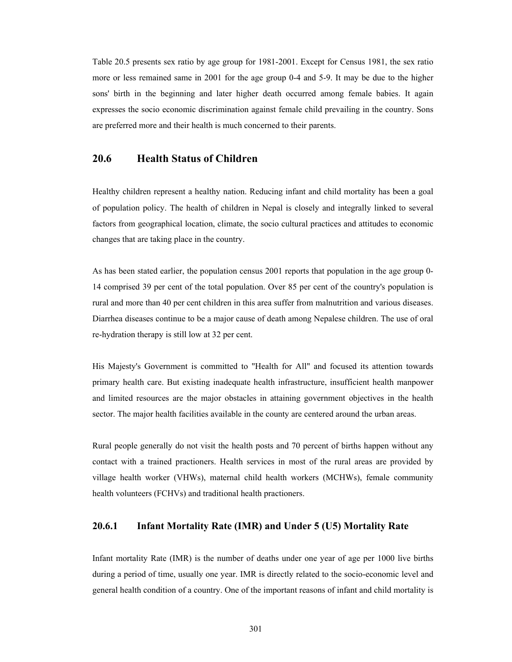Table 20.5 presents sex ratio by age group for 1981-2001. Except for Census 1981, the sex ratio more or less remained same in 2001 for the age group 0-4 and 5-9. It may be due to the higher sons' birth in the beginning and later higher death occurred among female babies. It again expresses the socio economic discrimination against female child prevailing in the country. Sons are preferred more and their health is much concerned to their parents.

## **20.6 Health Status of Children**

Healthy children represent a healthy nation. Reducing infant and child mortality has been a goal of population policy. The health of children in Nepal is closely and integrally linked to several factors from geographical location, climate, the socio cultural practices and attitudes to economic changes that are taking place in the country.

As has been stated earlier, the population census 2001 reports that population in the age group 0- 14 comprised 39 per cent of the total population. Over 85 per cent of the country's population is rural and more than 40 per cent children in this area suffer from malnutrition and various diseases. Diarrhea diseases continue to be a major cause of death among Nepalese children. The use of oral re-hydration therapy is still low at 32 per cent.

His Majesty's Government is committed to "Health for All" and focused its attention towards primary health care. But existing inadequate health infrastructure, insufficient health manpower and limited resources are the major obstacles in attaining government objectives in the health sector. The major health facilities available in the county are centered around the urban areas.

Rural people generally do not visit the health posts and 70 percent of births happen without any contact with a trained practioners. Health services in most of the rural areas are provided by village health worker (VHWs), maternal child health workers (MCHWs), female community health volunteers (FCHVs) and traditional health practioners.

## **20.6.1 Infant Mortality Rate (IMR) and Under 5 (U5) Mortality Rate**

Infant mortality Rate (IMR) is the number of deaths under one year of age per 1000 live births during a period of time, usually one year. IMR is directly related to the socio-economic level and general health condition of a country. One of the important reasons of infant and child mortality is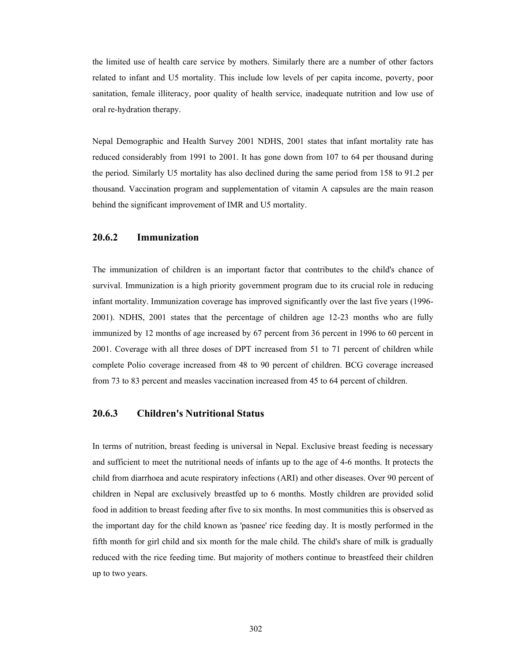the limited use of health care service by mothers. Similarly there are a number of other factors related to infant and U5 mortality. This include low levels of per capita income, poverty, poor sanitation, female illiteracy, poor quality of health service, inadequate nutrition and low use of oral re-hydration therapy.

Nepal Demographic and Health Survey 2001 NDHS, 2001 states that infant mortality rate has reduced considerably from 1991 to 2001. It has gone down from 107 to 64 per thousand during the period. Similarly U5 mortality has also declined during the same period from 158 to 91.2 per thousand. Vaccination program and supplementation of vitamin A capsules are the main reason behind the significant improvement of IMR and U5 mortality.

#### **20.6.2 Immunization**

The immunization of children is an important factor that contributes to the child's chance of survival. Immunization is a high priority government program due to its crucial role in reducing infant mortality. Immunization coverage has improved significantly over the last five years (1996- 2001). NDHS, 2001 states that the percentage of children age 12-23 months who are fully immunized by 12 months of age increased by 67 percent from 36 percent in 1996 to 60 percent in 2001. Coverage with all three doses of DPT increased from 51 to 71 percent of children while complete Polio coverage increased from 48 to 90 percent of children. BCG coverage increased from 73 to 83 percent and measles vaccination increased from 45 to 64 percent of children.

## **20.6.3 Children's Nutritional Status**

In terms of nutrition, breast feeding is universal in Nepal. Exclusive breast feeding is necessary and sufficient to meet the nutritional needs of infants up to the age of 4-6 months. It protects the child from diarrhoea and acute respiratory infections (ARI) and other diseases. Over 90 percent of children in Nepal are exclusively breastfed up to 6 months. Mostly children are provided solid food in addition to breast feeding after five to six months. In most communities this is observed as the important day for the child known as 'pasnee' rice feeding day. It is mostly performed in the fifth month for girl child and six month for the male child. The child's share of milk is gradually reduced with the rice feeding time. But majority of mothers continue to breastfeed their children up to two years.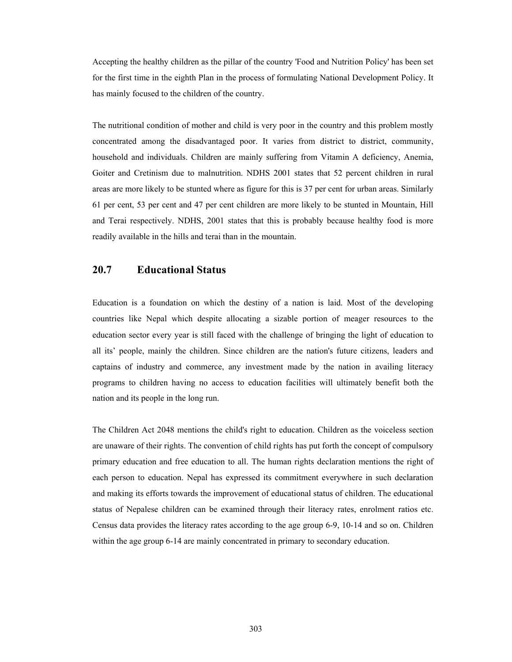Accepting the healthy children as the pillar of the country 'Food and Nutrition Policy' has been set for the first time in the eighth Plan in the process of formulating National Development Policy. It has mainly focused to the children of the country.

The nutritional condition of mother and child is very poor in the country and this problem mostly concentrated among the disadvantaged poor. It varies from district to district, community, household and individuals. Children are mainly suffering from Vitamin A deficiency, Anemia, Goiter and Cretinism due to malnutrition. NDHS 2001 states that 52 percent children in rural areas are more likely to be stunted where as figure for this is 37 per cent for urban areas. Similarly 61 per cent, 53 per cent and 47 per cent children are more likely to be stunted in Mountain, Hill and Terai respectively. NDHS, 2001 states that this is probably because healthy food is more readily available in the hills and terai than in the mountain.

## **20.7 Educational Status**

Education is a foundation on which the destiny of a nation is laid. Most of the developing countries like Nepal which despite allocating a sizable portion of meager resources to the education sector every year is still faced with the challenge of bringing the light of education to all its' people, mainly the children. Since children are the nation's future citizens, leaders and captains of industry and commerce, any investment made by the nation in availing literacy programs to children having no access to education facilities will ultimately benefit both the nation and its people in the long run.

The Children Act 2048 mentions the child's right to education. Children as the voiceless section are unaware of their rights. The convention of child rights has put forth the concept of compulsory primary education and free education to all. The human rights declaration mentions the right of each person to education. Nepal has expressed its commitment everywhere in such declaration and making its efforts towards the improvement of educational status of children. The educational status of Nepalese children can be examined through their literacy rates, enrolment ratios etc. Census data provides the literacy rates according to the age group 6-9, 10-14 and so on. Children within the age group 6-14 are mainly concentrated in primary to secondary education.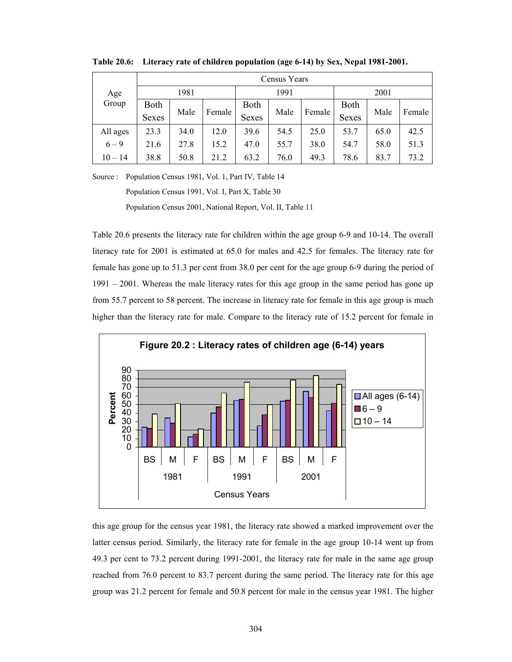| Age       | Census Years |      |        |              |      |        |              |      |        |  |  |
|-----------|--------------|------|--------|--------------|------|--------|--------------|------|--------|--|--|
|           |              | 1981 |        |              | 1991 |        |              | 2001 |        |  |  |
| Group     | <b>Both</b>  | Male | Female | <b>Both</b>  | Male | Female | <b>Both</b>  |      | Female |  |  |
|           | <b>Sexes</b> |      |        | <b>Sexes</b> |      |        | <b>Sexes</b> | Male |        |  |  |
| All ages  | 23.3         | 34.0 | 12.0   | 39.6         | 54.5 | 25.0   | 53.7         | 65.0 | 42.5   |  |  |
| $6 - 9$   | 21.6         | 27.8 | 15.2   | 47.0         | 55.7 | 38.0   | 54.7         | 58.0 | 51.3   |  |  |
| $10 - 14$ | 38.8         | 50.8 | 21.2   | 63.2         | 76.0 | 49.3   | 78.6         | 83.7 | 73.2   |  |  |

**Table 20.6: Literacy rate of children population (age 6-14) by Sex, Nepal 1981-2001.** 

Source : Population Census 1981, Vol. 1, Part IV, Table 14

Population Census 1991, Vol. I, Part X, Table 30

Population Census 2001, National Report, Vol. II, Table 11

Table 20.6 presents the literacy rate for children within the age group 6-9 and 10-14. The overall literacy rate for 2001 is estimated at 65.0 for males and 42.5 for females. The literacy rate for female has gone up to 51.3 per cent from 38.0 per cent for the age group 6-9 during the period of 1991 – 2001. Whereas the male literacy rates for this age group in the same period has gone up from 55.7 percent to 58 percent. The increase in literacy rate for female in this age group is much higher than the literacy rate for male. Compare to the literacy rate of 15.2 percent for female in



this age group for the census year 1981, the literacy rate showed a marked improvement over the latter census period. Similarly, the literacy rate for female in the age group 10-14 went up from 49.3 per cent to 73.2 percent during 1991-2001, the literacy rate for male in the same age group reached from 76.0 percent to 83.7 percent during the same period. The literacy rate for this age group was 21.2 percent for female and 50.8 percent for male in the census year 1981. The higher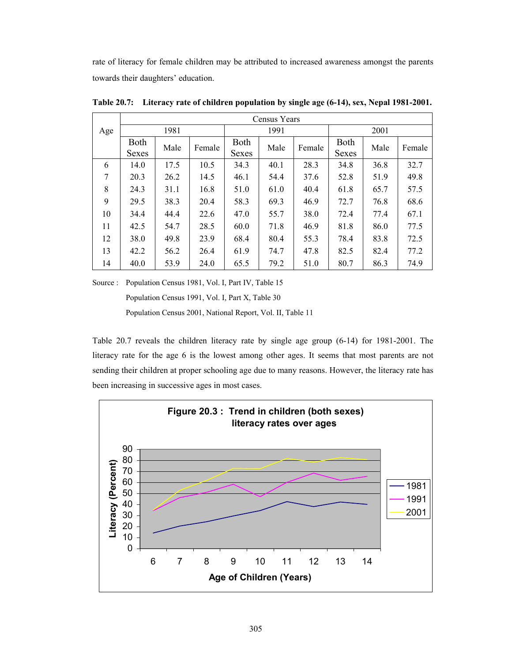rate of literacy for female children may be attributed to increased awareness amongst the parents towards their daughters' education.

|     |                      |      |        |                             | Census Years |        |                      |      |        |  |
|-----|----------------------|------|--------|-----------------------------|--------------|--------|----------------------|------|--------|--|
| Age |                      | 1981 |        |                             | 1991         |        |                      | 2001 |        |  |
|     | <b>Both</b><br>Sexes | Male | Female | <b>Both</b><br><b>Sexes</b> | Male         | Female | <b>Both</b><br>Sexes | Male | Female |  |
| 6   | 14.0                 | 17.5 | 10.5   | 34.3                        | 40.1         | 28.3   | 34.8                 | 36.8 | 32.7   |  |
| 7   | 20.3                 | 26.2 | 14.5   | 46.1                        | 54.4         | 37.6   | 52.8                 | 51.9 | 49.8   |  |
| 8   | 24.3                 | 31.1 | 16.8   | 51.0                        | 61.0         | 40.4   | 61.8                 | 65.7 | 57.5   |  |
| 9   | 29.5                 | 38.3 | 20.4   | 58.3                        | 69.3         | 46.9   | 72.7                 | 76.8 | 68.6   |  |
| 10  | 34.4                 | 44.4 | 22.6   | 47.0                        | 55.7         | 38.0   | 72.4                 | 77.4 | 67.1   |  |
| 11  | 42.5                 | 54.7 | 28.5   | 60.0                        | 71.8         | 46.9   | 81.8                 | 86.0 | 77.5   |  |
| 12  | 38.0                 | 49.8 | 23.9   | 68.4                        | 80.4         | 55.3   | 78.4                 | 83.8 | 72.5   |  |
| 13  | 42.2                 | 56.2 | 26.4   | 61.9                        | 74.7         | 47.8   | 82.5                 | 82.4 | 77.2   |  |
| 14  | 40.0                 | 53.9 | 24.0   | 65.5                        | 79.2         | 51.0   | 80.7                 | 86.3 | 74.9   |  |

**Table 20.7: Literacy rate of children population by single age (6-14), sex, Nepal 1981-2001.** 

Source : Population Census 1981, Vol. I, Part IV, Table 15

Population Census 1991, Vol. I, Part X, Table 30

Population Census 2001, National Report, Vol. II, Table 11

Table 20.7 reveals the children literacy rate by single age group (6-14) for 1981-2001. The literacy rate for the age 6 is the lowest among other ages. It seems that most parents are not sending their children at proper schooling age due to many reasons. However, the literacy rate has been increasing in successive ages in most cases.

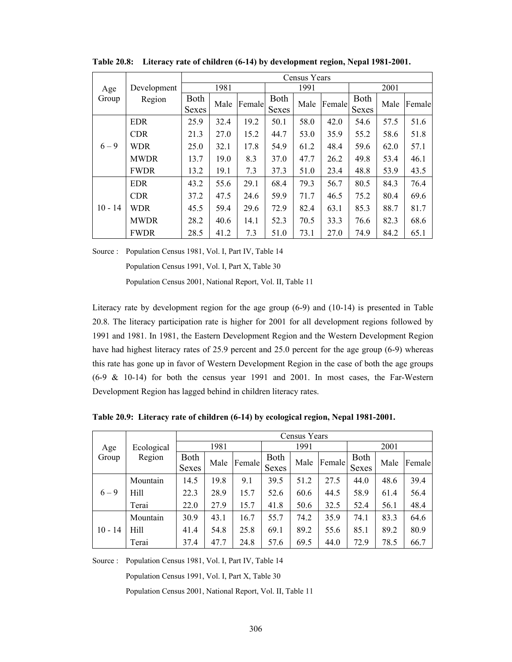|           |             | Census Years                |      |        |               |      |        |               |                                                                                      |        |  |
|-----------|-------------|-----------------------------|------|--------|---------------|------|--------|---------------|--------------------------------------------------------------------------------------|--------|--|
| Age       | Development |                             | 1981 |        | 1991          |      |        |               | 2001                                                                                 |        |  |
| Group     | Region      | <b>Both</b><br><b>Sexes</b> | Male | Female | Both<br>Sexes | Male | Female | Both<br>Sexes | Male<br>57.5<br>58.6<br>62.0<br>53.4<br>53.9<br>84.3<br>80.4<br>88.7<br>82.3<br>84.2 | Female |  |
|           | <b>EDR</b>  | 25.9                        | 32.4 | 19.2   | 50.1          | 58.0 | 42.0   | 54.6          |                                                                                      | 51.6   |  |
|           | <b>CDR</b>  | 21.3                        | 27.0 | 15.2   | 44.7          | 53.0 | 35.9   | 55.2          |                                                                                      | 51.8   |  |
| $6 - 9$   | <b>WDR</b>  | 25.0                        | 32.1 | 17.8   | 54.9          | 61.2 | 48.4   | 59.6          |                                                                                      | 57.1   |  |
|           | <b>MWDR</b> | 13.7                        | 19.0 | 8.3    | 37.0          | 47.7 | 26.2   | 49.8          |                                                                                      | 46.1   |  |
|           | <b>FWDR</b> | 13.2                        | 19.1 | 7.3    | 37.3          | 51.0 | 23.4   | 48.8          |                                                                                      | 43.5   |  |
|           | <b>EDR</b>  | 43.2                        | 55.6 | 29.1   | 68.4          | 79.3 | 56.7   | 80.5          |                                                                                      | 76.4   |  |
|           | <b>CDR</b>  | 37.2                        | 47.5 | 24.6   | 59.9          | 71.7 | 46.5   | 75.2          |                                                                                      | 69.6   |  |
| $10 - 14$ | <b>WDR</b>  | 45.5                        | 59.4 | 29.6   | 72.9          | 82.4 | 63.1   | 85.3          |                                                                                      | 81.7   |  |
|           | <b>MWDR</b> | 28.2                        | 40.6 | 14.1   | 52.3          | 70.5 | 33.3   | 76.6          |                                                                                      | 68.6   |  |
|           | <b>FWDR</b> | 28.5                        | 41.2 | 7.3    | 51.0          | 73.1 | 27.0   | 74.9          |                                                                                      | 65.1   |  |

**Table 20.8: Literacy rate of children (6-14) by development region, Nepal 1981-2001.** 

Source : Population Census 1981, Vol. I, Part IV, Table 14

Population Census 1991, Vol. I, Part X, Table 30

Population Census 2001, National Report, Vol. II, Table 11

Literacy rate by development region for the age group (6-9) and (10-14) is presented in Table 20.8. The literacy participation rate is higher for 2001 for all development regions followed by 1991 and 1981. In 1981, the Eastern Development Region and the Western Development Region have had highest literacy rates of 25.9 percent and 25.0 percent for the age group (6-9) whereas this rate has gone up in favor of Western Development Region in the case of both the age groups (6-9 & 10-14) for both the census year 1991 and 2001. In most cases, the Far-Western Development Region has lagged behind in children literacy rates.

**Table 20.9: Literacy rate of children (6-14) by ecological region, Nepal 1981-2001.** 

|           |            |                             | Census Years |        |               |      |        |               |      |        |  |  |
|-----------|------------|-----------------------------|--------------|--------|---------------|------|--------|---------------|------|--------|--|--|
| Age       | Ecological | 1981                        |              |        |               | 1991 |        | 2001          |      |        |  |  |
| Group     | Region     | <b>Both</b><br><b>Sexes</b> | Male         | Female | Both<br>Sexes | Male | Female | Both<br>Sexes | Male | Female |  |  |
|           | Mountain   | 14.5                        | 19.8         | 9.1    | 39.5          | 51.2 | 27.5   | 44.0          | 48.6 | 39.4   |  |  |
| $6 - 9$   | Hill       | 22.3                        | 28.9         | 15.7   | 52.6          | 60.6 | 44.5   | 58.9          | 61.4 | 56.4   |  |  |
|           | Terai      | 22.0                        | 27.9         | 15.7   | 41.8          | 50.6 | 32.5   | 52.4          | 56.1 | 48.4   |  |  |
|           | Mountain   | 30.9                        | 43.1         | 16.7   | 55.7          | 74.2 | 35.9   | 74.1          | 83.3 | 64.6   |  |  |
| $10 - 14$ | Hill       | 41.4                        | 54.8         | 25.8   | 69.1          | 89.2 | 55.6   | 85.1          | 89.2 | 80.9   |  |  |
|           | Terai      | 37.4                        | 47.7         | 24.8   | 57.6          | 69.5 | 44.0   | 72.9          | 78.5 | 66.7   |  |  |

Source : Population Census 1981, Vol. I, Part IV, Table 14

Population Census 1991, Vol. I, Part X, Table 30

Population Census 2001, National Report, Vol. II, Table 11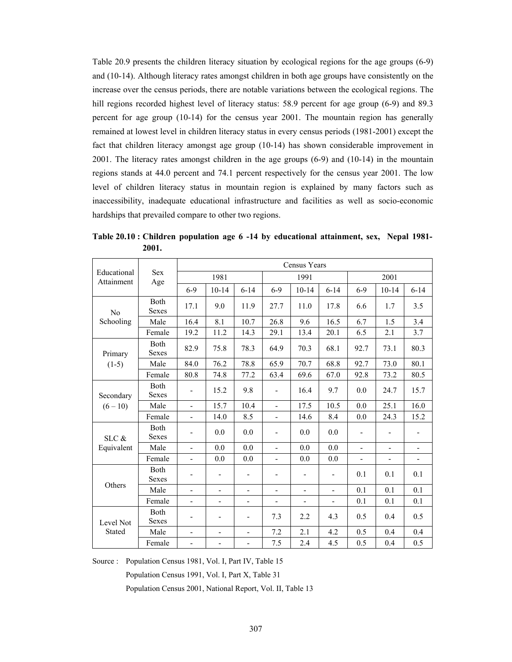Table 20.9 presents the children literacy situation by ecological regions for the age groups (6-9) and (10-14). Although literacy rates amongst children in both age groups have consistently on the increase over the census periods, there are notable variations between the ecological regions. The hill regions recorded highest level of literacy status: 58.9 percent for age group (6-9) and 89.3 percent for age group (10-14) for the census year 2001. The mountain region has generally remained at lowest level in children literacy status in every census periods (1981-2001) except the fact that children literacy amongst age group (10-14) has shown considerable improvement in 2001. The literacy rates amongst children in the age groups (6-9) and (10-14) in the mountain regions stands at 44.0 percent and 74.1 percent respectively for the census year 2001. The low level of children literacy status in mountain region is explained by many factors such as inaccessibility, inadequate educational infrastructure and facilities as well as socio-economic hardships that prevailed compare to other two regions.

|                                                                                                                                               |                             |                              |                          |                              |                          | Census Years             |                          |                          |                          |                          |
|-----------------------------------------------------------------------------------------------------------------------------------------------|-----------------------------|------------------------------|--------------------------|------------------------------|--------------------------|--------------------------|--------------------------|--------------------------|--------------------------|--------------------------|
| Educational<br>Attainment<br>No<br>Schooling<br>Primary<br>$(1-5)$<br>Secondary<br>$(6 - 10)$<br>$SLC$ &<br>Equivalent<br>Others<br>Level Not | <b>Sex</b><br>Age           |                              | 1981                     |                              |                          | 1991                     |                          |                          | 2001                     |                          |
|                                                                                                                                               |                             | $6 - 9$                      | $10-14$                  | $6 - 14$                     | $6 - 9$                  | $10 - 14$                | $6 - 14$                 | $6-9$                    | $10 - 14$                | $6 - 14$                 |
|                                                                                                                                               | Both<br>Sexes               | 17.1                         | 9.0                      | 11.9                         | 27.7                     | 11.0                     | 17.8                     | 6.6                      | 1.7                      | 3.5                      |
|                                                                                                                                               | Male                        | 16.4                         | 8.1                      | 10.7                         | 26.8                     | 9.6                      | 16.5                     | 6.7                      | 1.5                      | 3.4                      |
|                                                                                                                                               | Female                      | 19.2                         | 11.2                     | 14.3                         | 29.1                     | 13.4                     | 20.1                     | 6.5                      | 2.1                      | 3.7                      |
|                                                                                                                                               | <b>Both</b><br><b>Sexes</b> | 82.9                         | 75.8                     | 78.3                         | 64.9                     | 70.3                     | 68.1                     | 92.7                     | 73.1                     | 80.3                     |
|                                                                                                                                               | Male                        | 84.0                         | 76.2                     | 78.8                         | 65.9                     | 70.7                     | 68.8                     | 92.7                     | 73.0                     | 80.1                     |
|                                                                                                                                               | Female                      | 80.8                         | 74.8                     | 77.2                         | 63.4                     | 69.6                     | 67.0                     | 92.8                     | 73.2                     | 80.5                     |
|                                                                                                                                               | Both<br><b>Sexes</b>        |                              | 15.2                     | 9.8                          | $\blacksquare$           | 16.4                     | 9.7                      | 0.0                      | 24.7                     | 15.7                     |
|                                                                                                                                               | Male                        | $\blacksquare$               | 15.7                     | 10.4                         | $\blacksquare$           | 17.5                     | 10.5                     | 0.0                      | 25.1                     | 16.0                     |
|                                                                                                                                               | Female                      | $\overline{\phantom{a}}$     | 14.0                     | 8.5                          | $\blacksquare$           | 14.6                     | 8.4                      | 0.0                      | 24.3                     | 15.2                     |
|                                                                                                                                               | Both<br><b>Sexes</b>        |                              | 0.0                      | 0.0                          | $\overline{\phantom{a}}$ | 0.0                      | 0.0                      | $\overline{\phantom{a}}$ | $\overline{\phantom{a}}$ |                          |
|                                                                                                                                               | Male                        | $\blacksquare$               | 0.0                      | 0.0                          | $\blacksquare$           | 0.0                      | 0.0                      | $\blacksquare$           | $\overline{\phantom{a}}$ |                          |
|                                                                                                                                               | Female                      | $\overline{\phantom{a}}$     | 0.0                      | 0.0                          | $\blacksquare$           | 0.0                      | 0.0                      | $\overline{\phantom{0}}$ | $\overline{\phantom{a}}$ | $\overline{\phantom{a}}$ |
|                                                                                                                                               | <b>Both</b><br><b>Sexes</b> |                              | $\overline{\phantom{0}}$ | $\overline{\phantom{a}}$     |                          |                          | $\overline{\phantom{0}}$ | 0.1                      | 0.1                      | 0.1                      |
|                                                                                                                                               | Male                        | $\overline{\phantom{a}}$     | $\overline{\phantom{0}}$ | $\overline{\phantom{a}}$     | $\overline{\phantom{a}}$ | $\overline{\phantom{0}}$ | $\overline{\phantom{0}}$ | 0.1                      | 0.1                      | 0.1                      |
|                                                                                                                                               | Female                      | $\overline{\phantom{a}}$     | $\overline{\phantom{0}}$ | $\qquad \qquad -$            | $\overline{\phantom{a}}$ | $\overline{\phantom{0}}$ | L,                       | 0.1                      | 0.1                      | 0.1                      |
|                                                                                                                                               | Both<br><b>Sexes</b>        |                              | -                        | $\qquad \qquad \blacksquare$ | 7.3                      | 2.2                      | 4.3                      | 0.5                      | 0.4                      | 0.5                      |
| Stated                                                                                                                                        | Male                        | $\overline{\phantom{a}}$     | $\overline{\phantom{0}}$ | $\overline{\phantom{a}}$     | 7.2                      | 2.1                      | 4.2                      | 0.5                      | 0.4                      | 0.4                      |
|                                                                                                                                               | Female                      | $\qquad \qquad \blacksquare$ | $\overline{\phantom{0}}$ | -                            | 7.5                      | 2.4                      | 4.5                      | 0.5                      | 0.4                      | 0.5                      |

**Table 20.10 : Children population age 6 -14 by educational attainment, sex, Nepal 1981- 2001.** 

Source : Population Census 1981, Vol. I, Part IV, Table 15

Population Census 1991, Vol. I, Part X, Table 31

Population Census 2001, National Report, Vol. II, Table 13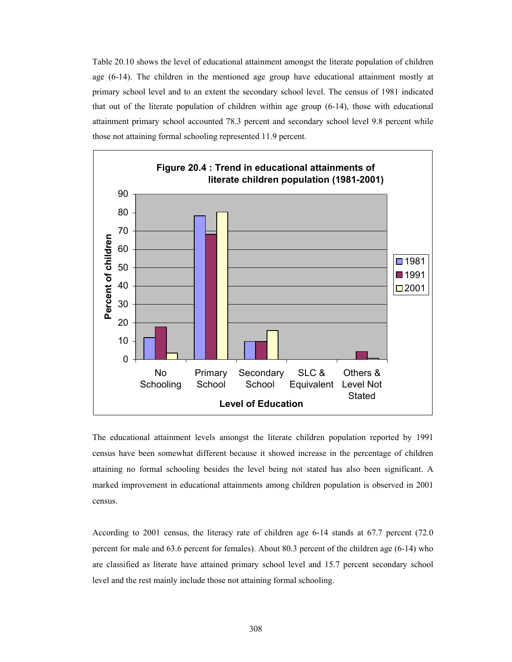Table 20.10 shows the level of educational attainment amongst the literate population of children age (6-14). The children in the mentioned age group have educational attainment mostly at primary school level and to an extent the secondary school level. The census of 1981 indicated that out of the literate population of children within age group (6-14), those with educational attainment primary school accounted 78.3 percent and secondary school level 9.8 percent while those not attaining formal schooling represented 11.9 percent.



The educational attainment levels amongst the literate children population reported by 1991 census have been somewhat different because it showed increase in the percentage of children attaining no formal schooling besides the level being not stated has also been significant. A marked improvement in educational attainments among children population is observed in 2001 census.

According to 2001 census, the literacy rate of children age 6-14 stands at 67.7 percent (72.0 percent for male and 63.6 percent for females). About 80.3 percent of the children age (6-14) who are classified as literate have attained primary school level and 15.7 percent secondary school level and the rest mainly include those not attaining formal schooling.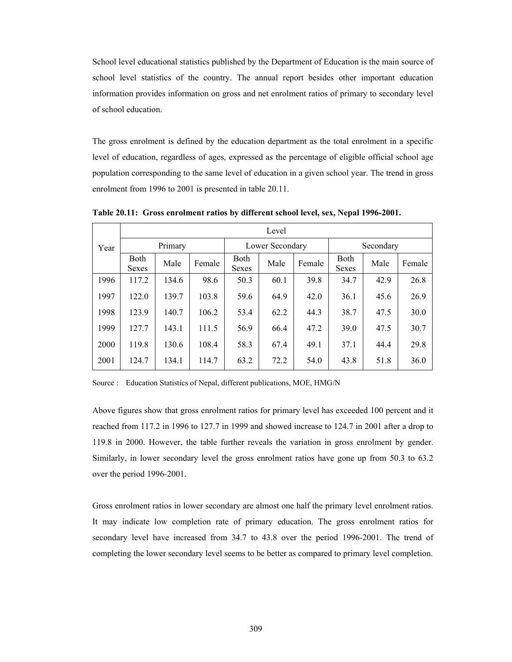School level educational statistics published by the Department of Education is the main source of school level statistics of the country. The annual report besides other important education information provides information on gross and net enrolment ratios of primary to secondary level of school education.

The gross enrolment is defined by the education department as the total enrolment in a specific level of education, regardless of ages, expressed as the percentage of eligible official school age population corresponding to the same level of education in a given school year. The trend in gross enrolment from 1996 to 2001 is presented in table 20.11.

|      | Level                       |         |        |                             |      |        |                             |           |        |  |  |
|------|-----------------------------|---------|--------|-----------------------------|------|--------|-----------------------------|-----------|--------|--|--|
| Year |                             | Primary |        | Lower Secondary             |      |        |                             | Secondary |        |  |  |
|      | <b>Both</b><br><b>Sexes</b> | Male    | Female | <b>Both</b><br><b>Sexes</b> | Male | Female | <b>Both</b><br><b>Sexes</b> | Male      | Female |  |  |
| 1996 | 117.2                       | 134.6   | 98.6   | 50.3                        | 60.1 | 39.8   | 34.7                        | 42.9      | 26.8   |  |  |
| 1997 | 122.0                       | 139.7   | 103.8  | 59.6                        | 64.9 | 42.0   | 36.1                        | 45.6      | 26.9   |  |  |
| 1998 | 123.9                       | 140.7   | 106.2  | 53.4                        | 62.2 | 44.3   | 38.7                        | 47.5      | 30.0   |  |  |
| 1999 | 127.7                       | 143.1   | 111.5  | 56.9                        | 66.4 | 47.2   | 39.0                        | 47.5      | 30.7   |  |  |
| 2000 | 119.8                       | 130.6   | 108.4  | 58.3                        | 67.4 | 49.1   | 37.1                        | 44.4      | 29.8   |  |  |
| 2001 | 124.7                       | 134.1   | 114.7  | 63.2                        | 72.2 | 54.0   | 43.8                        | 51.8      | 36.0   |  |  |

**Table 20.11: Gross enrolment ratios by different school level, sex, Nepal 1996-2001.** 

Source : Education Statistics of Nepal, different publications, MOE, HMG/N

Above figures show that gross enrolment ratios for primary level has exceeded 100 percent and it reached from 117.2 in 1996 to 127.7 in 1999 and showed increase to 124.7 in 2001 after a drop to 119.8 in 2000. However, the table further reveals the variation in gross enrolment by gender. Similarly, in lower secondary level the gross enrolment ratios have gone up from 50.3 to 63.2 over the period 1996-2001.

Gross enrolment ratios in lower secondary are almost one half the primary level enrolment ratios. It may indicate low completion rate of primary education. The gross enrolment ratios for secondary level have increased from 34.7 to 43.8 over the period 1996-2001. The trend of completing the lower secondary level seems to be better as compared to primary level completion.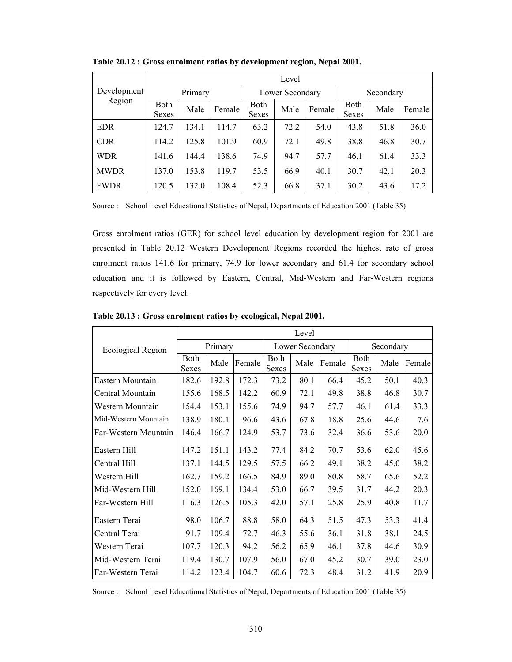|             | Level                |       |        |               |                 |        |                      |           |        |  |  |
|-------------|----------------------|-------|--------|---------------|-----------------|--------|----------------------|-----------|--------|--|--|
| Development | Primary              |       |        |               | Lower Secondary |        |                      | Secondary |        |  |  |
| Region      | Both<br><b>Sexes</b> | Male  | Female | Both<br>Sexes | Male            | Female | <b>Both</b><br>Sexes | Male      | Female |  |  |
| <b>EDR</b>  | 124.7                | 134.1 | 114.7  | 63.2          | 72.2            | 54.0   | 43.8                 | 51.8      | 36.0   |  |  |
| <b>CDR</b>  | 114.2                | 125.8 | 101.9  | 60.9          | 72.1            | 49.8   | 38.8                 | 46.8      | 30.7   |  |  |
| <b>WDR</b>  | 141.6                | 144.4 | 138.6  | 74.9          | 94.7            | 57.7   | 46.1                 | 61.4      | 33.3   |  |  |
| <b>MWDR</b> | 137.0                | 153.8 | 119.7  | 53.5          | 66.9            | 40.1   | 30.7                 | 42.1      | 20.3   |  |  |
| <b>FWDR</b> | 120.5                | 132.0 | 108.4  | 52.3          | 66.8            | 37.1   | 30.2                 | 43.6      | 17.2   |  |  |

**Table 20.12 : Gross enrolment ratios by development region, Nepal 2001.** 

Source : School Level Educational Statistics of Nepal, Departments of Education 2001 (Table 35)

Gross enrolment ratios (GER) for school level education by development region for 2001 are presented in Table 20.12 Western Development Regions recorded the highest rate of gross enrolment ratios 141.6 for primary, 74.9 for lower secondary and 61.4 for secondary school education and it is followed by Eastern, Central, Mid-Western and Far-Western regions respectively for every level.

|                          | Level         |         |        |                 |      |        |               |             |        |  |
|--------------------------|---------------|---------|--------|-----------------|------|--------|---------------|-------------|--------|--|
| <b>Ecological Region</b> |               | Primary |        | Lower Secondary |      |        | Secondary     |             |        |  |
|                          | Both<br>Sexes | Male    | Female | Both<br>Sexes   | Male | Female | Both<br>Sexes | Male        | Female |  |
| Eastern Mountain         | 182.6         | 192.8   | 172.3  | 73.2            | 80.1 | 66.4   | 45.2          | 50.1        | 40.3   |  |
| Central Mountain         | 155.6         | 168.5   | 142.2  | 60.9            | 72.1 | 49.8   | 38.8          | 46.8        | 30.7   |  |
| Western Mountain         | 154.4         | 153.1   | 155.6  | 74.9            | 94.7 | 57.7   | 46.1          | 61.4        | 33.3   |  |
| Mid-Western Mountain     | 138.9         | 180.1   | 96.6   | 43.6            | 67.8 | 18.8   | 25.6          | 44.6        | 7.6    |  |
| Far-Western Mountain     | 146.4         | 166.7   | 124.9  | 53.7            | 73.6 | 32.4   | 36.6          | 53.6        | 20.0   |  |
| Eastern Hill             | 147.2         | 151.1   | 143.2  | 77.4            | 84.2 | 70.7   | 53.6          | 62.0        | 45.6   |  |
| Central Hill             | 137.1         | 144.5   | 129.5  | 57.5            | 66.2 | 49.1   | 38.2          | 45.0        | 38.2   |  |
| Western Hill             | 162.7         | 159.2   | 166.5  | 84.9            | 89.0 | 80.8   | 58.7          | 65.6        | 52.2   |  |
| Mid-Western Hill         | 152.0         | 169.1   | 134.4  | 53.0            | 66.7 | 39.5   | 31.7          | 44.2        | 20.3   |  |
| Far-Western Hill         | 116.3         | 126.5   | 105.3  | 42.0            | 57.1 | 25.8   | 25.9          | 40.8        | 11.7   |  |
| Eastern Terai            | 98.0          | 106.7   | 88.8   | 58.0            | 64.3 | 51.5   | 47.3          | 53.3        | 41.4   |  |
| Central Terai            | 91.7          | 109.4   | 72.7   | 46.3            | 55.6 | 36.1   | 31.8          | 38.1        | 24.5   |  |
| Western Terai            | 107.7         | 120.3   | 94.2   | 56.2            | 65.9 | 46.1   | 37.8          | 44.6        | 30.9   |  |
| Mid-Western Terai        | 119.4         | 130.7   | 107.9  | 56.0            | 67.0 | 45.2   | 30.7          | <b>39.0</b> | 23.0   |  |
| Far-Western Terai        | 114.2         | 123.4   | 104.7  | 60.6            | 72.3 | 48.4   | 31.2          | 41.9        | 20.9   |  |

**Table 20.13 : Gross enrolment ratios by ecological, Nepal 2001.** 

Source : School Level Educational Statistics of Nepal, Departments of Education 2001 (Table 35)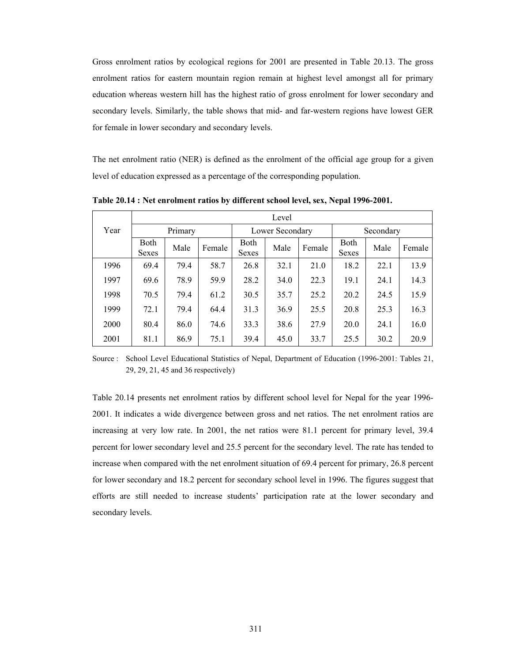Gross enrolment ratios by ecological regions for 2001 are presented in Table 20.13. The gross enrolment ratios for eastern mountain region remain at highest level amongst all for primary education whereas western hill has the highest ratio of gross enrolment for lower secondary and secondary levels. Similarly, the table shows that mid- and far-western regions have lowest GER for female in lower secondary and secondary levels.

The net enrolment ratio (NER) is defined as the enrolment of the official age group for a given level of education expressed as a percentage of the corresponding population.

|      | Level                |      |        |                             |                 |        |                      |      |        |  |
|------|----------------------|------|--------|-----------------------------|-----------------|--------|----------------------|------|--------|--|
| Year | Primary              |      |        |                             | Lower Secondary |        | Secondary            |      |        |  |
|      | Both<br><b>Sexes</b> | Male | Female | <b>Both</b><br><b>Sexes</b> | Male            | Female | <b>Both</b><br>Sexes | Male | Female |  |
| 1996 | 69.4                 | 79.4 | 58.7   | 26.8                        | 32.1            | 21.0   | 18.2                 | 22.1 | 13.9   |  |
| 1997 | 69.6                 | 78.9 | 59.9   | 28.2                        | 34.0            | 22.3   | 19.1                 | 24.1 | 14.3   |  |
| 1998 | 70.5                 | 79.4 | 61.2   | 30.5                        | 35.7            | 25.2   | 20.2                 | 24.5 | 15.9   |  |
| 1999 | 72.1                 | 79.4 | 64.4   | 31.3                        | 36.9            | 25.5   | 20.8                 | 25.3 | 16.3   |  |
| 2000 | 80.4                 | 86.0 | 74.6   | 33.3                        | 38.6            | 27.9   | 20.0                 | 24.1 | 16.0   |  |
| 2001 | 81.1                 | 86.9 | 75.1   | 39.4                        | 45.0            | 33.7   | 25.5                 | 30.2 | 20.9   |  |

**Table 20.14 : Net enrolment ratios by different school level, sex, Nepal 1996-2001.** 

Source : School Level Educational Statistics of Nepal, Department of Education (1996-2001: Tables 21, 29, 29, 21, 45 and 36 respectively)

Table 20.14 presents net enrolment ratios by different school level for Nepal for the year 1996- 2001. It indicates a wide divergence between gross and net ratios. The net enrolment ratios are increasing at very low rate. In 2001, the net ratios were 81.1 percent for primary level, 39.4 percent for lower secondary level and 25.5 percent for the secondary level. The rate has tended to increase when compared with the net enrolment situation of 69.4 percent for primary, 26.8 percent for lower secondary and 18.2 percent for secondary school level in 1996. The figures suggest that efforts are still needed to increase students' participation rate at the lower secondary and secondary levels.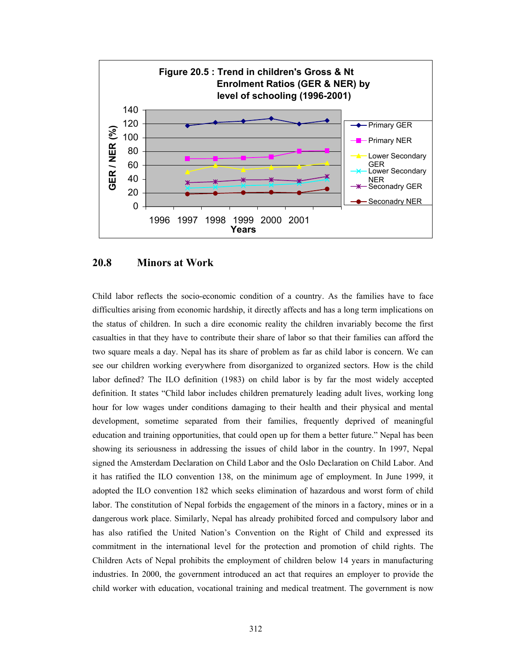

## **20.8 Minors at Work**

Child labor reflects the socio-economic condition of a country. As the families have to face difficulties arising from economic hardship, it directly affects and has a long term implications on the status of children. In such a dire economic reality the children invariably become the first casualties in that they have to contribute their share of labor so that their families can afford the two square meals a day. Nepal has its share of problem as far as child labor is concern. We can see our children working everywhere from disorganized to organized sectors. How is the child labor defined? The ILO definition (1983) on child labor is by far the most widely accepted definition. It states "Child labor includes children prematurely leading adult lives, working long hour for low wages under conditions damaging to their health and their physical and mental development, sometime separated from their families, frequently deprived of meaningful education and training opportunities, that could open up for them a better future." Nepal has been showing its seriousness in addressing the issues of child labor in the country. In 1997, Nepal signed the Amsterdam Declaration on Child Labor and the Oslo Declaration on Child Labor. And it has ratified the ILO convention 138, on the minimum age of employment. In June 1999, it adopted the ILO convention 182 which seeks elimination of hazardous and worst form of child labor. The constitution of Nepal forbids the engagement of the minors in a factory, mines or in a dangerous work place. Similarly, Nepal has already prohibited forced and compulsory labor and has also ratified the United Nation's Convention on the Right of Child and expressed its commitment in the international level for the protection and promotion of child rights. The Children Acts of Nepal prohibits the employment of children below 14 years in manufacturing industries. In 2000, the government introduced an act that requires an employer to provide the child worker with education, vocational training and medical treatment. The government is now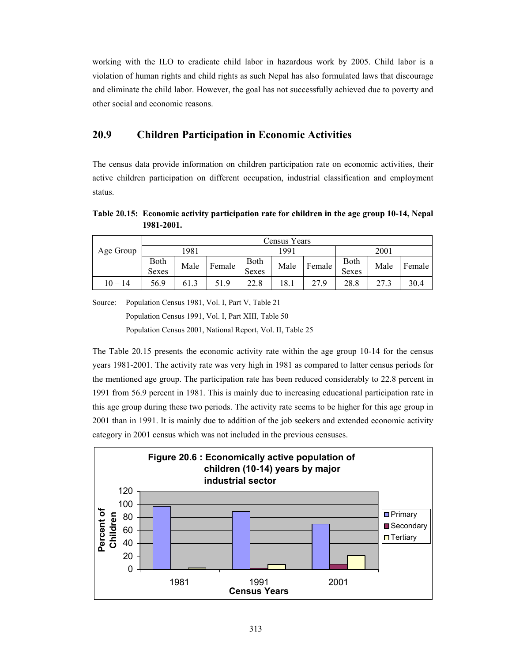working with the ILO to eradicate child labor in hazardous work by 2005. Child labor is a violation of human rights and child rights as such Nepal has also formulated laws that discourage and eliminate the child labor. However, the goal has not successfully achieved due to poverty and other social and economic reasons.

# **20.9 Children Participation in Economic Activities**

The census data provide information on children participation rate on economic activities, their active children participation on different occupation, industrial classification and employment status.

**Table 20.15: Economic activity participation rate for children in the age group 10-14, Nepal 1981-2001.** 

|           |                      |      |        |               | Census Years |        |               |      |          |  |
|-----------|----------------------|------|--------|---------------|--------------|--------|---------------|------|----------|--|
| Age Group |                      | 1981 |        |               | 1991         |        | 2001          |      |          |  |
|           | Both<br><b>Sexes</b> | Male | Female | Both<br>Sexes | Male         | Female | Both<br>Sexes | Male | Female I |  |
| $10 - 14$ | 56.9                 | 61.3 | 51.9   | 22.8          | 18.1         | 27.9   | 28.8          | 27.3 | 30.4     |  |

Source: Population Census 1981, Vol. I, Part V, Table 21

Population Census 1991, Vol. I, Part XIII, Table 50

Population Census 2001, National Report, Vol. II, Table 25

The Table 20.15 presents the economic activity rate within the age group 10-14 for the census years 1981-2001. The activity rate was very high in 1981 as compared to latter census periods for the mentioned age group. The participation rate has been reduced considerably to 22.8 percent in 1991 from 56.9 percent in 1981. This is mainly due to increasing educational participation rate in this age group during these two periods. The activity rate seems to be higher for this age group in 2001 than in 1991. It is mainly due to addition of the job seekers and extended economic activity category in 2001 census which was not included in the previous censuses.

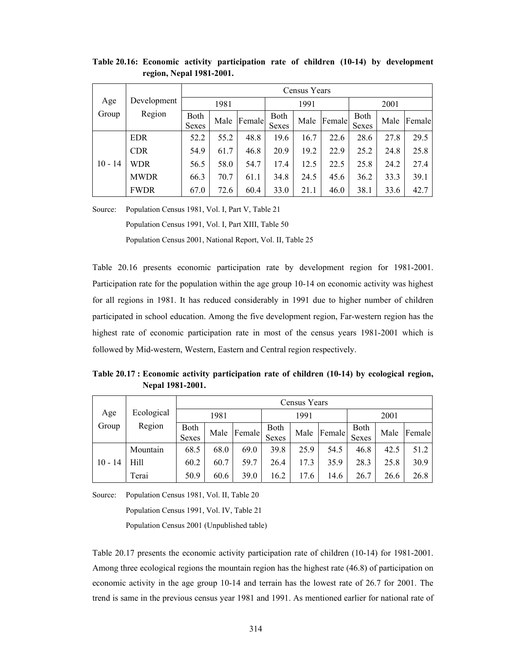|           |             |               | Census Years |        |                      |      |        |               |      |        |  |  |
|-----------|-------------|---------------|--------------|--------|----------------------|------|--------|---------------|------|--------|--|--|
| Age       | Development |               | 1981         |        |                      | 1991 |        |               | 2001 |        |  |  |
| Group     | Region      | Both<br>Sexes | Male         | Female | Both<br><b>Sexes</b> | Male | Female | Both<br>Sexes | Male | Female |  |  |
|           | <b>EDR</b>  | 52.2          | 55.2         | 48.8   | 19.6                 | 16.7 | 22.6   | 28.6          | 27.8 | 29.5   |  |  |
|           | <b>CDR</b>  | 54.9          | 61.7         | 46.8   | 20.9                 | 19.2 | 22.9   | 25.2          | 24.8 | 25.8   |  |  |
| $10 - 14$ | <b>WDR</b>  | 56.5          | 58.0         | 54.7   | 17.4                 | 12.5 | 22.5   | 25.8          | 24.2 | 27.4   |  |  |
|           | <b>MWDR</b> | 66.3          | 70.7         | 61.1   | 34.8                 | 24.5 | 45.6   | 36.2          | 33.3 | 39.1   |  |  |
|           | <b>FWDR</b> | 67.0          | 72.6         | 60.4   | 33.0                 | 21.1 | 46.0   | 38.1          | 33.6 | 42.7   |  |  |

**Table 20.16: Economic activity participation rate of children (10-14) by development region, Nepal 1981-2001.** 

Source: Population Census 1981, Vol. I, Part V, Table 21

Population Census 1991, Vol. I, Part XIII, Table 50

Population Census 2001, National Report, Vol. II, Table 25

Table 20.16 presents economic participation rate by development region for 1981-2001. Participation rate for the population within the age group 10-14 on economic activity was highest for all regions in 1981. It has reduced considerably in 1991 due to higher number of children participated in school education. Among the five development region, Far-western region has the highest rate of economic participation rate in most of the census years 1981-2001 which is followed by Mid-western, Western, Eastern and Central region respectively.

**Table 20.17 : Economic activity participation rate of children (10-14) by ecological region, Nepal 1981-2001.** 

|           |            |                      | Census Years |        |                      |      |        |                             |      |        |  |
|-----------|------------|----------------------|--------------|--------|----------------------|------|--------|-----------------------------|------|--------|--|
| Age       | Ecological |                      | 1981         |        |                      | 1991 |        |                             | 2001 |        |  |
| Group     | Region     | <b>Both</b><br>Sexes | Male         | Female | Both<br><b>Sexes</b> | Male | Female | <b>Both</b><br><b>Sexes</b> | Male | Female |  |
|           | Mountain   | 68.5                 | 68.0         | 69.0   | 39.8                 | 25.9 | 54.5   | 46.8                        | 42.5 | 51.2   |  |
| $10 - 14$ | Hill       | 60.2                 | 60.7         | 59.7   | 26.4                 | 17.3 | 35.9   | 28.3                        | 25.8 | 30.9   |  |
|           | Terai      | 50.9                 | 60.6         | 39.0   | 16.2                 | 17.6 | 14.6   | 26.7                        | 26.6 | 26.8   |  |

Source: Population Census 1981, Vol. II, Table 20

Population Census 1991, Vol. IV, Table 21

Population Census 2001 (Unpublished table)

Table 20.17 presents the economic activity participation rate of children (10-14) for 1981-2001. Among three ecological regions the mountain region has the highest rate (46.8) of participation on economic activity in the age group 10-14 and terrain has the lowest rate of 26.7 for 2001. The trend is same in the previous census year 1981 and 1991. As mentioned earlier for national rate of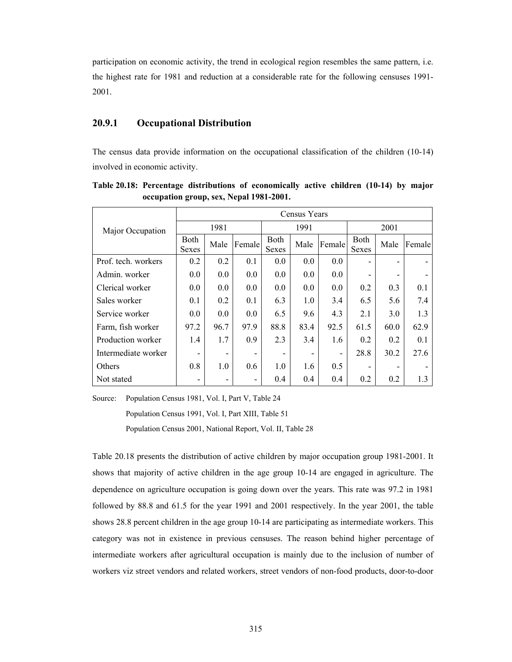participation on economic activity, the trend in ecological region resembles the same pattern, i.e. the highest rate for 1981 and reduction at a considerable rate for the following censuses 1991- 2001.

#### **20.9.1 Occupational Distribution**

The census data provide information on the occupational classification of the children (10-14) involved in economic activity.

|                     |                          | Census Years |        |                             |      |                          |                             |      |        |  |
|---------------------|--------------------------|--------------|--------|-----------------------------|------|--------------------------|-----------------------------|------|--------|--|
| Major Occupation    | 1981                     |              |        |                             | 1991 |                          |                             | 2001 |        |  |
|                     | Both<br>Sexes            | Male         | Female | <b>Both</b><br><b>Sexes</b> | Male | Female                   | <b>Both</b><br><b>Sexes</b> | Male | Female |  |
| Prof. tech. workers | 0.2                      | 0.2          | 0.1    | 0.0                         | 0.0  | 0.0                      |                             |      |        |  |
| Admin. worker       | 0.0                      | 0.0          | 0.0    | 0.0                         | 0.0  | 0.0                      |                             |      |        |  |
| Clerical worker     | 0.0                      | 0.0          | 0.0    | 0.0                         | 0.0  | 0.0                      | 0.2                         | 0.3  | 0.1    |  |
| Sales worker        | 0.1                      | 0.2          | 0.1    | 6.3                         | 1.0  | 3.4                      | 6.5                         | 5.6  | 7.4    |  |
| Service worker      | 0.0                      | 0.0          | 0.0    | 6.5                         | 9.6  | 4.3                      | 2.1                         | 3.0  | 1.3    |  |
| Farm, fish worker   | 97.2                     | 96.7         | 97.9   | 88.8                        | 83.4 | 92.5                     | 61.5                        | 60.0 | 62.9   |  |
| Production worker   | 1.4                      | 1.7          | 0.9    | 2.3                         | 3.4  | 1.6                      | 0.2                         | 0.2  | 0.1    |  |
| Intermediate worker | $\overline{\phantom{0}}$ |              |        |                             | -    | $\overline{\phantom{0}}$ | 28.8                        | 30.2 | 27.6   |  |
| Others              | 0.8                      | 1.0          | 0.6    | 1.0                         | 1.6  | 0.5                      |                             |      |        |  |
| Not stated          | $\overline{\phantom{0}}$ |              |        | 0.4                         | 0.4  | 0.4                      | 0.2                         | 0.2  | 1.3    |  |

**Table 20.18: Percentage distributions of economically active children (10-14) by major occupation group, sex, Nepal 1981-2001.** 

Source: Population Census 1981, Vol. I, Part V, Table 24

Population Census 1991, Vol. I, Part XIII, Table 51

Population Census 2001, National Report, Vol. II, Table 28

Table 20.18 presents the distribution of active children by major occupation group 1981-2001. It shows that majority of active children in the age group 10-14 are engaged in agriculture. The dependence on agriculture occupation is going down over the years. This rate was 97.2 in 1981 followed by 88.8 and 61.5 for the year 1991 and 2001 respectively. In the year 2001, the table shows 28.8 percent children in the age group 10-14 are participating as intermediate workers. This category was not in existence in previous censuses. The reason behind higher percentage of intermediate workers after agricultural occupation is mainly due to the inclusion of number of workers viz street vendors and related workers, street vendors of non-food products, door-to-door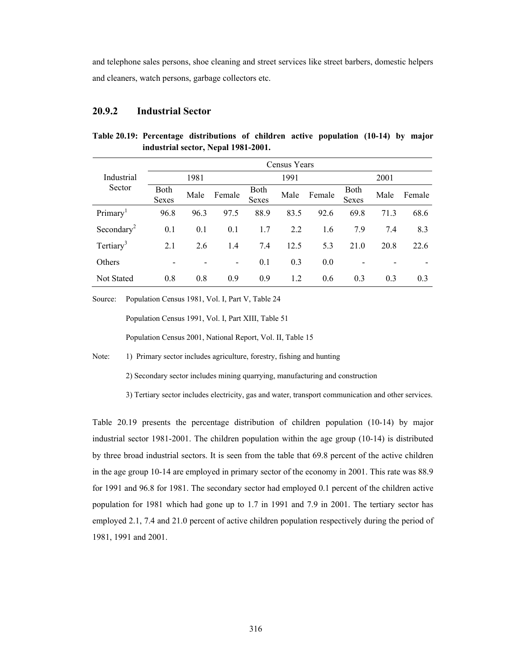and telephone sales persons, shoe cleaning and street services like street barbers, domestic helpers and cleaners, watch persons, garbage collectors etc.

#### **20.9.2 Industrial Sector**

|                        |                      |      |                              |               | Census Years |        |                      |      |        |  |  |
|------------------------|----------------------|------|------------------------------|---------------|--------------|--------|----------------------|------|--------|--|--|
| Industrial             | 1981                 |      |                              |               | 1991         |        |                      | 2001 |        |  |  |
| Sector                 | <b>Both</b><br>Sexes | Male | Female                       | Both<br>Sexes | Male         | Female | Both<br><b>Sexes</b> | Male | Female |  |  |
| Primary <sup>1</sup>   | 96.8                 | 96.3 | 97.5                         | 88.9          | 83.5         | 92.6   | 69.8                 | 71.3 | 68.6   |  |  |
| Secondary <sup>2</sup> | 0.1                  | 0.1  | 0.1                          | 1.7           | 2.2          | 1.6    | 7.9                  | 7.4  | 8.3    |  |  |
| Tertiary <sup>3</sup>  | 2.1                  | 2.6  | 1.4                          | 7.4           | 12.5         | 5.3    | 21.0                 | 20.8 | 22.6   |  |  |
| Others                 |                      |      | $\qquad \qquad \blacksquare$ | 0.1           | 0.3          | 0.0    |                      |      |        |  |  |
| <b>Not Stated</b>      | 0.8                  | 0.8  | 0.9                          | 0.9           | 1.2          | 0.6    | 0.3                  | 0.3  | 0.3    |  |  |

**Table 20.19: Percentage distributions of children active population (10-14) by major industrial sector, Nepal 1981-2001.** 

Source: Population Census 1981, Vol. I, Part V, Table 24

Population Census 1991, Vol. I, Part XIII, Table 51

Population Census 2001, National Report, Vol. II, Table 15

Note: 1) Primary sector includes agriculture, forestry, fishing and hunting

2) Secondary sector includes mining quarrying, manufacturing and construction

3) Tertiary sector includes electricity, gas and water, transport communication and other services.

Table 20.19 presents the percentage distribution of children population (10-14) by major industrial sector 1981-2001. The children population within the age group (10-14) is distributed by three broad industrial sectors. It is seen from the table that 69.8 percent of the active children in the age group 10-14 are employed in primary sector of the economy in 2001. This rate was 88.9 for 1991 and 96.8 for 1981. The secondary sector had employed 0.1 percent of the children active population for 1981 which had gone up to 1.7 in 1991 and 7.9 in 2001. The tertiary sector has employed 2.1, 7.4 and 21.0 percent of active children population respectively during the period of 1981, 1991 and 2001.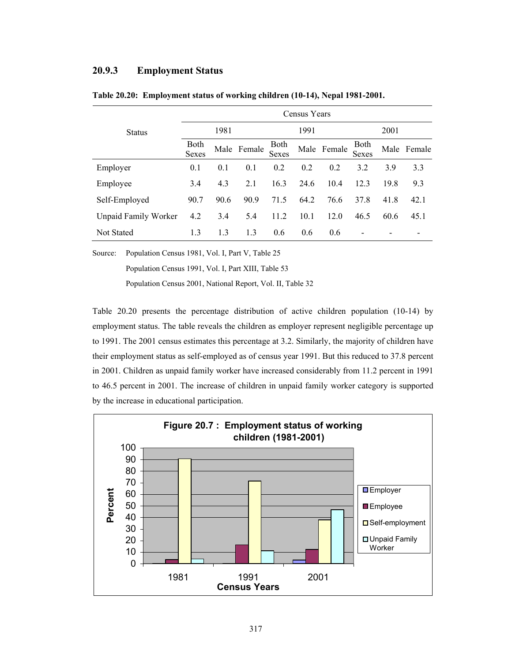## **20.9.3 Employment Status**

|                             |               |      |             |                             | Census Years |             |                             |      |             |
|-----------------------------|---------------|------|-------------|-----------------------------|--------------|-------------|-----------------------------|------|-------------|
| <b>Status</b>               | 1981          |      |             | 1991                        |              |             | 2001                        |      |             |
|                             | Both<br>Sexes |      | Male Female | <b>Both</b><br><b>Sexes</b> |              | Male Female | <b>Both</b><br><b>Sexes</b> |      | Male Female |
| Employer                    | 0.1           | 0.1  | 0.1         | 0.2                         | 0.2          | 0.2         | 3.2                         | 3.9  | 3.3         |
| Employee                    | 3.4           | 4.3  | 2.1         | 16.3                        | 24.6         | 10.4        | 12.3                        | 19.8 | 9.3         |
| Self-Employed               | 90.7          | 90.6 | 90.9        | 71.5                        | 64.2         | 76.6        | 37.8                        | 41.8 | 42.1        |
| <b>Unpaid Family Worker</b> | 4.2           | 3.4  | 5.4         | 11.2                        | 10.1         | 12.0        | 46.5                        | 60.6 | 45.1        |
| <b>Not Stated</b>           | 1.3           | 1.3  | 1.3         | 0.6                         | 0.6          | 0.6         |                             |      |             |

**Table 20.20: Employment status of working children (10-14), Nepal 1981-2001.** 

Source: Population Census 1981, Vol. I, Part V, Table 25

Population Census 1991, Vol. I, Part XIII, Table 53

Population Census 2001, National Report, Vol. II, Table 32

Table 20.20 presents the percentage distribution of active children population (10-14) by employment status. The table reveals the children as employer represent negligible percentage up to 1991. The 2001 census estimates this percentage at 3.2. Similarly, the majority of children have their employment status as self-employed as of census year 1991. But this reduced to 37.8 percent in 2001. Children as unpaid family worker have increased considerably from 11.2 percent in 1991 to 46.5 percent in 2001. The increase of children in unpaid family worker category is supported by the increase in educational participation.

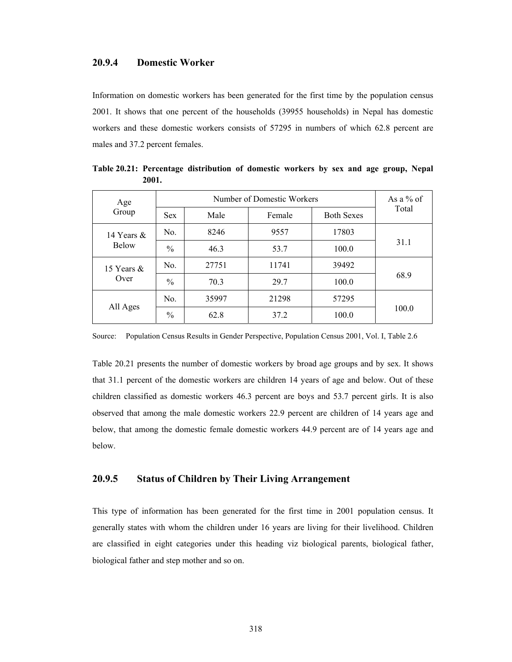#### **20.9.4 Domestic Worker**

Information on domestic workers has been generated for the first time by the population census 2001. It shows that one percent of the households (39955 households) in Nepal has domestic workers and these domestic workers consists of 57295 in numbers of which 62.8 percent are males and 37.2 percent females.

| Age           |               | Number of Domestic Workers |        |                   |       |  |  |  |  |  |
|---------------|---------------|----------------------------|--------|-------------------|-------|--|--|--|--|--|
| Group         | <b>Sex</b>    | Male                       | Female | <b>Both Sexes</b> | Total |  |  |  |  |  |
| 14 Years $\&$ | No.           | 8246                       | 9557   | 17803             |       |  |  |  |  |  |
| <b>Below</b>  | $\frac{0}{0}$ | 46.3                       | 53.7   | 100.0             | 31.1  |  |  |  |  |  |
| 15 Years $\&$ | No.           | 27751                      | 11741  | 39492             |       |  |  |  |  |  |
| Over          | $\frac{0}{0}$ | 70.3                       | 29.7   | 100.0             | 68.9  |  |  |  |  |  |
|               | No.           | 35997                      | 21298  | 57295             |       |  |  |  |  |  |
| All Ages      | $\frac{0}{0}$ | 62.8                       | 37.2   | 100.0             | 100.0 |  |  |  |  |  |

**Table 20.21: Percentage distribution of domestic workers by sex and age group, Nepal 2001.** 

Source: Population Census Results in Gender Perspective, Population Census 2001, Vol. I, Table 2.6

Table 20.21 presents the number of domestic workers by broad age groups and by sex. It shows that 31.1 percent of the domestic workers are children 14 years of age and below. Out of these children classified as domestic workers 46.3 percent are boys and 53.7 percent girls. It is also observed that among the male domestic workers 22.9 percent are children of 14 years age and below, that among the domestic female domestic workers 44.9 percent are of 14 years age and below.

#### **20.9.5 Status of Children by Their Living Arrangement**

This type of information has been generated for the first time in 2001 population census. It generally states with whom the children under 16 years are living for their livelihood. Children are classified in eight categories under this heading viz biological parents, biological father, biological father and step mother and so on.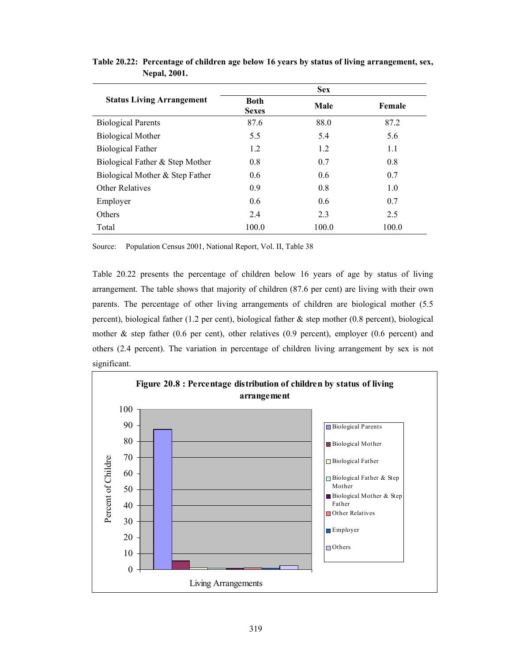|                                  |                             | <b>Sex</b> |        |
|----------------------------------|-----------------------------|------------|--------|
| <b>Status Living Arrangement</b> | <b>Both</b><br><b>Sexes</b> | Male       | Female |
| <b>Biological Parents</b>        | 87.6                        | 88.0       | 87.2   |
| <b>Biological Mother</b>         | 5.5                         | 5.4        | 5.6    |
| <b>Biological Father</b>         | 1.2                         | 1.2        | 1.1    |
| Biological Father & Step Mother  | 0.8                         | 0.7        | 0.8    |
| Biological Mother & Step Father  | 0.6                         | 0.6        | 0.7    |
| <b>Other Relatives</b>           | 0.9                         | 0.8        | 1.0    |
| Employer                         | 0.6                         | 0.6        | 0.7    |
| Others                           | 2.4                         | 2.3        | 2.5    |
| Total                            | 100.0                       | 100.0      | 100.0  |

**Table 20.22: Percentage of children age below 16 years by status of living arrangement, sex, Nepal, 2001.** 

Source: Population Census 2001, National Report, Vol. II, Table 38

Table 20.22 presents the percentage of children below 16 years of age by status of living arrangement. The table shows that majority of children (87.6 per cent) are living with their own parents. The percentage of other living arrangements of children are biological mother (5.5 percent), biological father (1.2 per cent), biological father & step mother (0.8 percent), biological mother & step father (0.6 per cent), other relatives (0.9 percent), employer (0.6 percent) and others (2.4 percent). The variation in percentage of children living arrangement by sex is not significant.

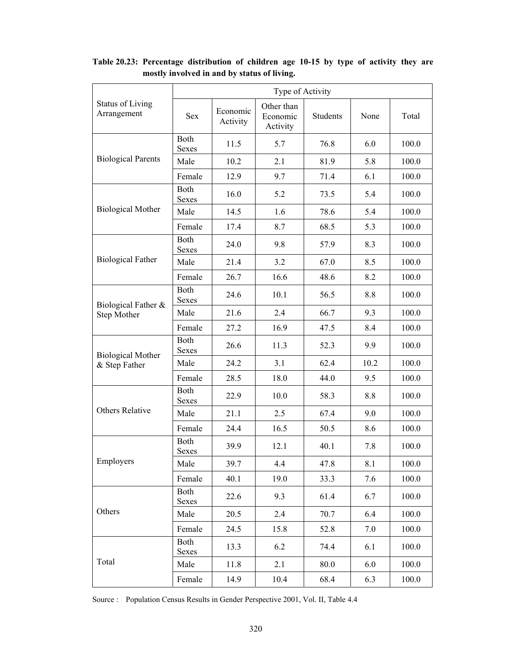|                                        | Type of Activity            |                      |                                    |                 |      |       |  |  |  |  |
|----------------------------------------|-----------------------------|----------------------|------------------------------------|-----------------|------|-------|--|--|--|--|
| <b>Status of Living</b><br>Arrangement | <b>Sex</b>                  | Economic<br>Activity | Other than<br>Economic<br>Activity | <b>Students</b> | None | Total |  |  |  |  |
|                                        | Both<br><b>Sexes</b>        | 11.5                 | 5.7                                | 76.8            | 6.0  | 100.0 |  |  |  |  |
| <b>Biological Parents</b>              | Male                        | 10.2                 | 2.1                                | 81.9            | 5.8  | 100.0 |  |  |  |  |
|                                        | Female                      | 12.9                 | 9.7                                | 71.4            | 6.1  | 100.0 |  |  |  |  |
|                                        | Both<br><b>Sexes</b>        | 16.0                 | 5.2                                | 73.5            | 5.4  | 100.0 |  |  |  |  |
| <b>Biological Mother</b>               | Male                        | 14.5                 | 1.6                                | 78.6            | 5.4  | 100.0 |  |  |  |  |
|                                        | Female                      | 17.4                 | 8.7                                | 68.5            | 5.3  | 100.0 |  |  |  |  |
|                                        | Both<br><b>Sexes</b>        | 24.0                 | 9.8                                | 57.9            | 8.3  | 100.0 |  |  |  |  |
| <b>Biological Father</b>               | Male                        | 21.4                 | 3.2                                | 67.0            | 8.5  | 100.0 |  |  |  |  |
|                                        | Female                      | 26.7                 | 16.6                               | 48.6            | 8.2  | 100.0 |  |  |  |  |
|                                        | <b>Both</b><br><b>Sexes</b> | 24.6                 | 10.1                               | 56.5            | 8.8  | 100.0 |  |  |  |  |
| Biological Father &<br>Step Mother     | Male                        | 21.6                 | 2.4                                | 66.7            | 9.3  | 100.0 |  |  |  |  |
|                                        | Female                      | 27.2                 | 16.9                               | 47.5            | 8.4  | 100.0 |  |  |  |  |
| <b>Biological Mother</b>               | Both<br>Sexes               | 26.6                 | 11.3                               | 52.3            | 9.9  | 100.0 |  |  |  |  |
| & Step Father                          | Male                        | 24.2                 | 3.1                                | 62.4            | 10.2 | 100.0 |  |  |  |  |
|                                        | Female                      | 28.5                 | 18.0                               | 44.0            | 9.5  | 100.0 |  |  |  |  |
|                                        | Both<br><b>Sexes</b>        | 22.9                 | 10.0                               | 58.3            | 8.8  | 100.0 |  |  |  |  |
| <b>Others Relative</b>                 | Male                        | 21.1                 | 2.5                                | 67.4            | 9.0  | 100.0 |  |  |  |  |
|                                        | Female                      | 24.4                 | 16.5                               | 50.5            | 8.6  | 100.0 |  |  |  |  |
|                                        | Both<br>Sexes               | 39.9                 | 12.1                               | 40.1            | 7.8  | 100.0 |  |  |  |  |
| Employers                              | Male                        | 39.7                 | 4.4                                | 47.8            | 8.1  | 100.0 |  |  |  |  |
|                                        | Female                      | 40.1                 | 19.0                               | 33.3            | 7.6  | 100.0 |  |  |  |  |
|                                        | Both<br>Sexes               | 22.6                 | 9.3                                | 61.4            | 6.7  | 100.0 |  |  |  |  |
| Others                                 | Male                        | 20.5                 | 2.4                                | 70.7            | 6.4  | 100.0 |  |  |  |  |
|                                        | Female                      | 24.5                 | 15.8                               | 52.8            | 7.0  | 100.0 |  |  |  |  |
|                                        | Both<br>Sexes               | 13.3                 | 6.2                                | 74.4            | 6.1  | 100.0 |  |  |  |  |
| Total                                  | Male                        | 11.8                 | 2.1                                | 80.0            | 6.0  | 100.0 |  |  |  |  |
|                                        | Female                      | 14.9                 | 10.4                               | 68.4            | 6.3  | 100.0 |  |  |  |  |

**Table 20.23: Percentage distribution of children age 10-15 by type of activity they are mostly involved in and by status of living.** 

Source : Population Census Results in Gender Perspective 2001, Vol. II, Table 4.4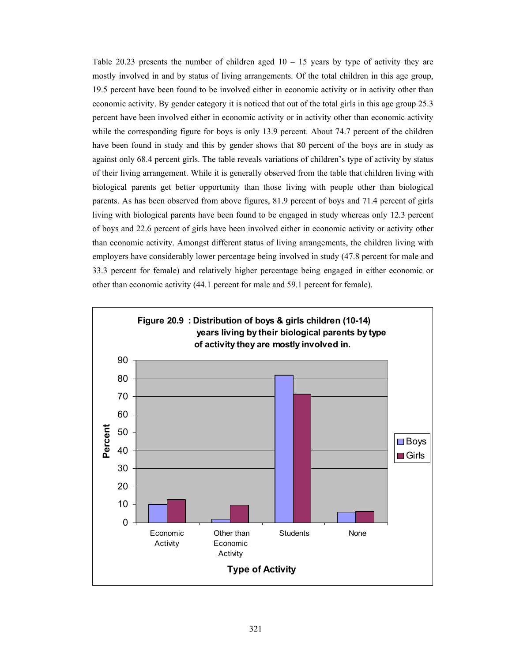Table 20.23 presents the number of children aged  $10 - 15$  years by type of activity they are mostly involved in and by status of living arrangements. Of the total children in this age group, 19.5 percent have been found to be involved either in economic activity or in activity other than economic activity. By gender category it is noticed that out of the total girls in this age group 25.3 percent have been involved either in economic activity or in activity other than economic activity while the corresponding figure for boys is only 13.9 percent. About 74.7 percent of the children have been found in study and this by gender shows that 80 percent of the boys are in study as against only 68.4 percent girls. The table reveals variations of children's type of activity by status of their living arrangement. While it is generally observed from the table that children living with biological parents get better opportunity than those living with people other than biological parents. As has been observed from above figures, 81.9 percent of boys and 71.4 percent of girls living with biological parents have been found to be engaged in study whereas only 12.3 percent of boys and 22.6 percent of girls have been involved either in economic activity or activity other than economic activity. Amongst different status of living arrangements, the children living with employers have considerably lower percentage being involved in study (47.8 percent for male and 33.3 percent for female) and relatively higher percentage being engaged in either economic or other than economic activity (44.1 percent for male and 59.1 percent for female).

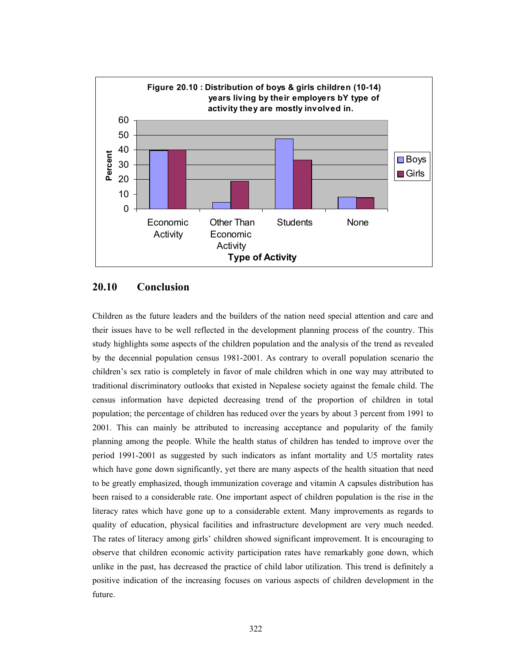

## **20.10 Conclusion**

Children as the future leaders and the builders of the nation need special attention and care and their issues have to be well reflected in the development planning process of the country. This study highlights some aspects of the children population and the analysis of the trend as revealed by the decennial population census 1981-2001. As contrary to overall population scenario the children's sex ratio is completely in favor of male children which in one way may attributed to traditional discriminatory outlooks that existed in Nepalese society against the female child. The census information have depicted decreasing trend of the proportion of children in total population; the percentage of children has reduced over the years by about 3 percent from 1991 to 2001. This can mainly be attributed to increasing acceptance and popularity of the family planning among the people. While the health status of children has tended to improve over the period 1991-2001 as suggested by such indicators as infant mortality and U5 mortality rates which have gone down significantly, yet there are many aspects of the health situation that need to be greatly emphasized, though immunization coverage and vitamin A capsules distribution has been raised to a considerable rate. One important aspect of children population is the rise in the literacy rates which have gone up to a considerable extent. Many improvements as regards to quality of education, physical facilities and infrastructure development are very much needed. The rates of literacy among girls' children showed significant improvement. It is encouraging to observe that children economic activity participation rates have remarkably gone down, which unlike in the past, has decreased the practice of child labor utilization. This trend is definitely a positive indication of the increasing focuses on various aspects of children development in the future.